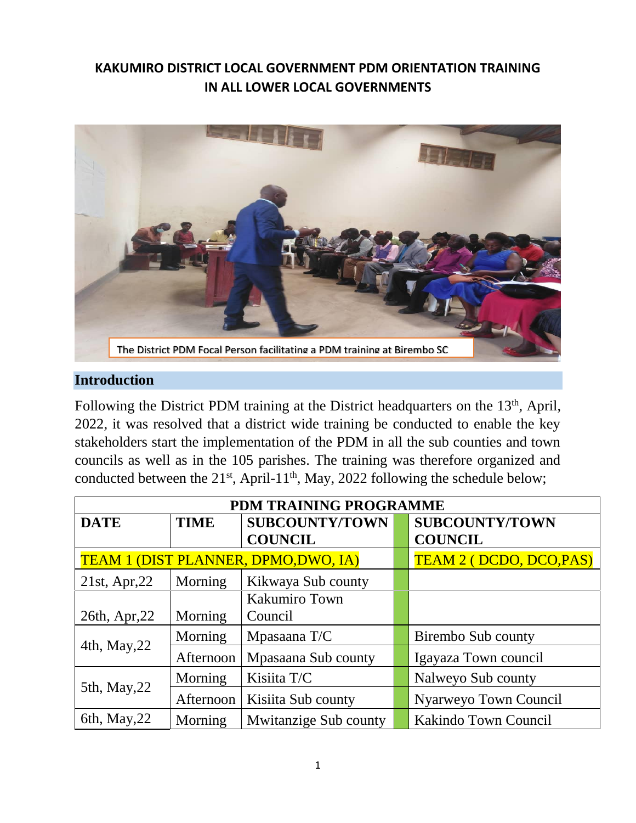# **KAKUMIRO DISTRICT LOCAL GOVERNMENT PDM ORIENTATION TRAINING IN ALL LOWER LOCAL GOVERNMENTS**



#### **Introduction**

Following the District PDM training at the District headquarters on the  $13<sup>th</sup>$ , April, 2022, it was resolved that a district wide training be conducted to enable the key stakeholders start the implementation of the PDM in all the sub counties and town councils as well as in the 105 parishes. The training was therefore organized and conducted between the  $21^{st}$ , April-11<sup>th</sup>, May, 2022 following the schedule below;

| PDM TRAINING PROGRAMME |             |                                            |  |                                |
|------------------------|-------------|--------------------------------------------|--|--------------------------------|
| <b>DATE</b>            | <b>TIME</b> | <b>SUBCOUNTY/TOWN</b>                      |  | <b>SUBCOUNTY/TOWN</b>          |
|                        |             | <b>COUNCIL</b>                             |  | <b>COUNCIL</b>                 |
|                        |             | <b>TEAM 1 (DIST PLANNER, DPMO,DWO, IA)</b> |  | <b>TEAM 2 (DCDO, DCO, PAS)</b> |
| $21st$ , Apr, $22$     | Morning     | Kikwaya Sub county                         |  |                                |
|                        |             | <b>Kakumiro Town</b>                       |  |                                |
| 26th, Apr, 22          | Morning     | Council                                    |  |                                |
| 4th, May, 22           | Morning     | Mpasaana T/C                               |  | Birembo Sub county             |
|                        | Afternoon   | Mpasaana Sub county                        |  | Igayaza Town council           |
| 5th, May, 22           | Morning     | Kisiita T/C                                |  | Nalweyo Sub county             |
|                        | Afternoon   | Kisiita Sub county                         |  | Nyarweyo Town Council          |
| 6th, May, $22$         | Morning     | Mwitanzige Sub county                      |  | Kakindo Town Council           |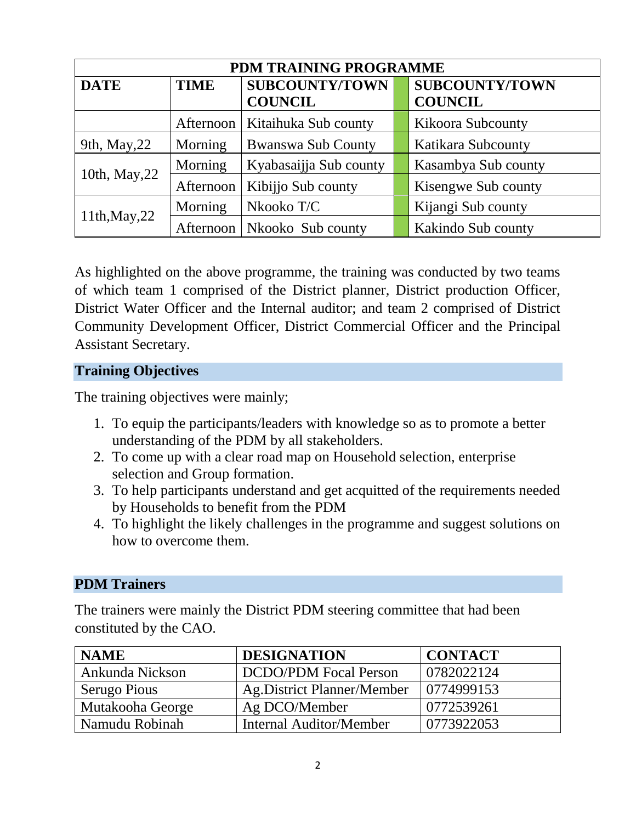| PDM TRAINING PROGRAMME |             |                           |  |                          |
|------------------------|-------------|---------------------------|--|--------------------------|
| <b>DATE</b>            | <b>TIME</b> | <b>SUBCOUNTY/TOWN</b>     |  | <b>SUBCOUNTY/TOWN</b>    |
|                        |             | <b>COUNCIL</b>            |  | <b>COUNCIL</b>           |
|                        | Afternoon   | Kitaihuka Sub county      |  | <b>Kikoora Subcounty</b> |
| 9th, May, 22           | Morning     | <b>Bwanswa Sub County</b> |  | Katikara Subcounty       |
| 10th, May, 22          | Morning     | Kyabasaijja Sub county    |  | Kasambya Sub county      |
|                        | Afternoon   | Kibijjo Sub county        |  | Kisengwe Sub county      |
| 11th, May, 22          | Morning     | Nkooko T/C                |  | Kijangi Sub county       |
|                        | Afternoon   | Nkooko Sub county         |  | Kakindo Sub county       |

As highlighted on the above programme, the training was conducted by two teams of which team 1 comprised of the District planner, District production Officer, District Water Officer and the Internal auditor; and team 2 comprised of District Community Development Officer, District Commercial Officer and the Principal Assistant Secretary.

### **Training Objectives**

The training objectives were mainly;

- 1. To equip the participants/leaders with knowledge so as to promote a better understanding of the PDM by all stakeholders.
- 2. To come up with a clear road map on Household selection, enterprise selection and Group formation.
- 3. To help participants understand and get acquitted of the requirements needed by Households to benefit from the PDM
- 4. To highlight the likely challenges in the programme and suggest solutions on how to overcome them.

### **PDM Trainers**

The trainers were mainly the District PDM steering committee that had been constituted by the CAO.

| <b>NAME</b>      | <b>DESIGNATION</b>                | <b>CONTACT</b> |
|------------------|-----------------------------------|----------------|
| Ankunda Nickson  | <b>DCDO/PDM Focal Person</b>      | 0782022124     |
| Serugo Pious     | <b>Ag.District Planner/Member</b> | 0774999153     |
| Mutakooha George | Ag DCO/Member                     | 0772539261     |
| Namudu Robinah   | <b>Internal Auditor/Member</b>    | 0773922053     |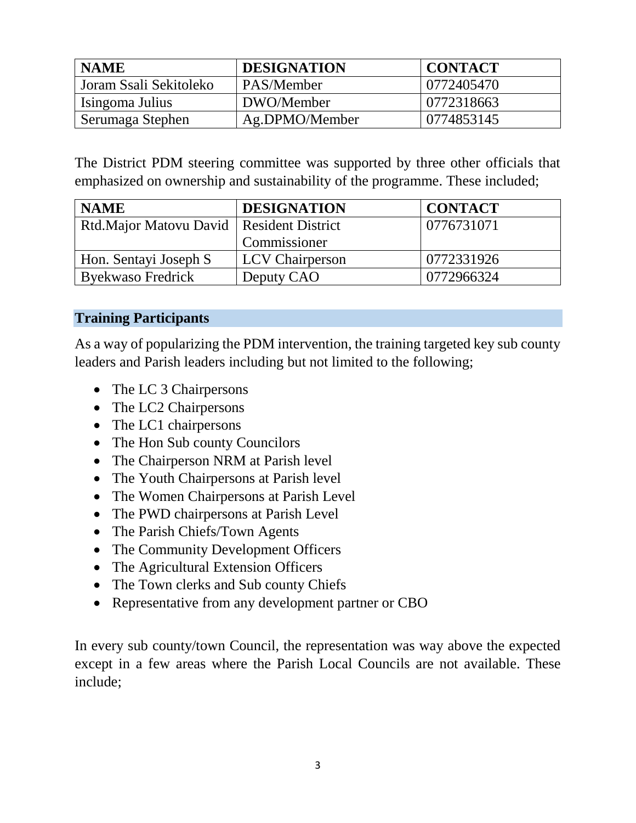| <b>NAME</b>            | <b>DESIGNATION</b> | <b>CONTACT</b> |
|------------------------|--------------------|----------------|
| Joram Ssali Sekitoleko | ∣ PAS/Member       | 0772405470     |
| Isingoma Julius        | DWO/Member         | 0772318663     |
| Serumaga Stephen       | Ag.DPMO/Member     | 0774853145     |

The District PDM steering committee was supported by three other officials that emphasized on ownership and sustainability of the programme. These included;

| <b>NAME</b>                                | <b>DESIGNATION</b>     | <b>CONTACT</b> |
|--------------------------------------------|------------------------|----------------|
| Rtd.Major Matovu David   Resident District |                        | 10776731071    |
|                                            | Commissioner           |                |
| Hon. Sentayi Joseph S                      | <b>LCV</b> Chairperson | 0772331926     |
| <b>Byekwaso Fredrick</b>                   | Deputy CAO             | 0772966324     |

## **Training Participants**

As a way of popularizing the PDM intervention, the training targeted key sub county leaders and Parish leaders including but not limited to the following;

- The LC 3 Chairpersons
- The LC2 Chairpersons
- The LC1 chairpersons
- The Hon Sub county Councilors
- The Chairperson NRM at Parish level
- The Youth Chairpersons at Parish level
- The Women Chairpersons at Parish Level
- The PWD chairpersons at Parish Level
- The Parish Chiefs/Town Agents
- The Community Development Officers
- The Agricultural Extension Officers
- The Town clerks and Sub county Chiefs
- Representative from any development partner or CBO

In every sub county/town Council, the representation was way above the expected except in a few areas where the Parish Local Councils are not available. These include;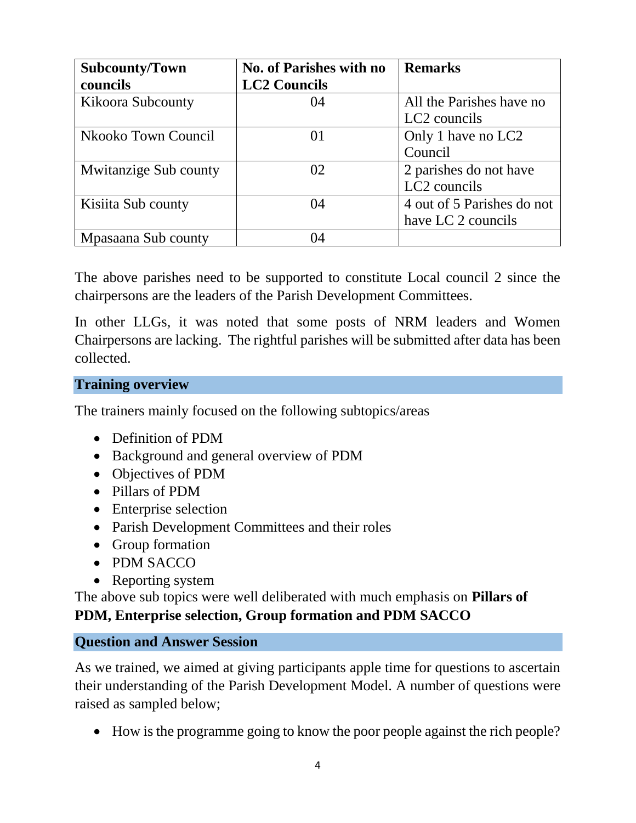| <b>Subcounty/Town</b>        | <b>No. of Parishes with no</b> | <b>Remarks</b>             |
|------------------------------|--------------------------------|----------------------------|
| councils                     | <b>LC2 Councils</b>            |                            |
| <b>Kikoora Subcounty</b>     | 04                             | All the Parishes have no   |
|                              |                                | LC2 councils               |
| Nkooko Town Council          | $\Omega$                       | Only 1 have no LC2         |
|                              |                                | Council                    |
| <b>Mwitanzige Sub county</b> | 02                             | 2 parishes do not have     |
|                              |                                | LC <sub>2</sub> councils   |
| Kisiita Sub county           | 04                             | 4 out of 5 Parishes do not |
|                              |                                | have LC 2 councils         |
| Mpasaana Sub county          | $\mathcal{A}$                  |                            |

The above parishes need to be supported to constitute Local council 2 since the chairpersons are the leaders of the Parish Development Committees.

In other LLGs, it was noted that some posts of NRM leaders and Women Chairpersons are lacking. The rightful parishes will be submitted after data has been collected.

## **Training overview**

The trainers mainly focused on the following subtopics/areas

- Definition of PDM
- Background and general overview of PDM
- Objectives of PDM
- Pillars of PDM
- Enterprise selection
- Parish Development Committees and their roles
- Group formation
- PDM SACCO
- Reporting system

The above sub topics were well deliberated with much emphasis on **Pillars of PDM, Enterprise selection, Group formation and PDM SACCO**

### **Question and Answer Session**

As we trained, we aimed at giving participants apple time for questions to ascertain their understanding of the Parish Development Model. A number of questions were raised as sampled below;

How is the programme going to know the poor people against the rich people?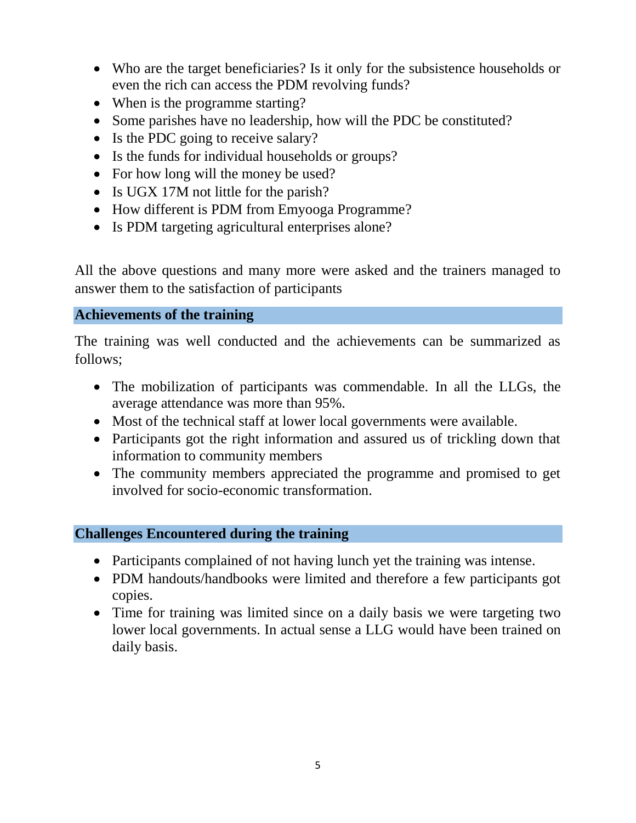- Who are the target beneficiaries? Is it only for the subsistence households or even the rich can access the PDM revolving funds?
- When is the programme starting?
- Some parishes have no leadership, how will the PDC be constituted?
- Is the PDC going to receive salary?
- Is the funds for individual households or groups?
- For how long will the money be used?
- Is UGX 17M not little for the parish?
- How different is PDM from Emyooga Programme?
- Is PDM targeting agricultural enterprises alone?

All the above questions and many more were asked and the trainers managed to answer them to the satisfaction of participants

#### **Achievements of the training**

The training was well conducted and the achievements can be summarized as follows;

- The mobilization of participants was commendable. In all the LLGs, the average attendance was more than 95%.
- Most of the technical staff at lower local governments were available.
- Participants got the right information and assured us of trickling down that information to community members
- The community members appreciated the programme and promised to get involved for socio-economic transformation.

### **Challenges Encountered during the training**

- Participants complained of not having lunch yet the training was intense.
- PDM handouts/handbooks were limited and therefore a few participants got copies.
- Time for training was limited since on a daily basis we were targeting two lower local governments. In actual sense a LLG would have been trained on daily basis.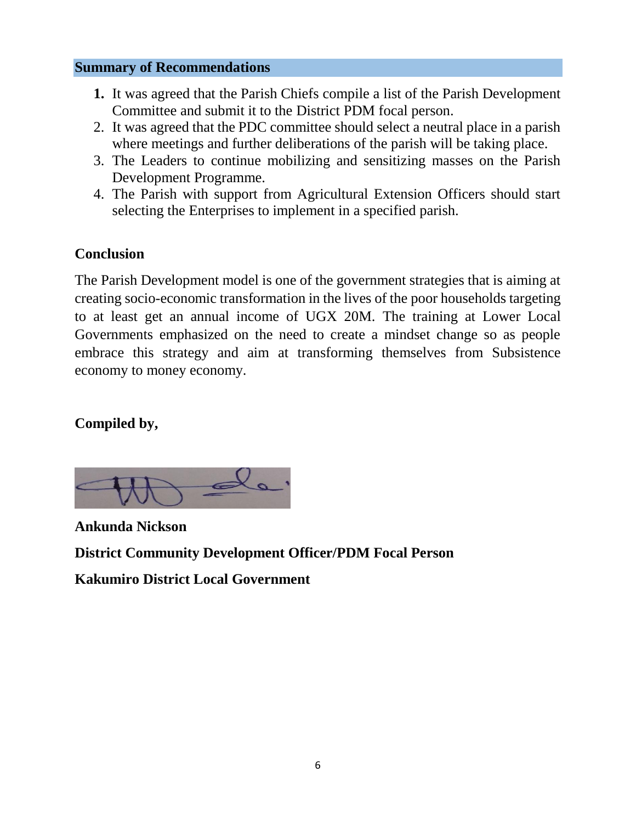### **Summary of Recommendations**

- **1.** It was agreed that the Parish Chiefs compile a list of the Parish Development Committee and submit it to the District PDM focal person.
- 2. It was agreed that the PDC committee should select a neutral place in a parish where meetings and further deliberations of the parish will be taking place.
- 3. The Leaders to continue mobilizing and sensitizing masses on the Parish Development Programme.
- 4. The Parish with support from Agricultural Extension Officers should start selecting the Enterprises to implement in a specified parish.

## **Conclusion**

The Parish Development model is one of the government strategies that is aiming at creating socio-economic transformation in the lives of the poor households targeting to at least get an annual income of UGX 20M. The training at Lower Local Governments emphasized on the need to create a mindset change so as people embrace this strategy and aim at transforming themselves from Subsistence economy to money economy.

## **Compiled by,**



**Ankunda Nickson District Community Development Officer/PDM Focal Person Kakumiro District Local Government**